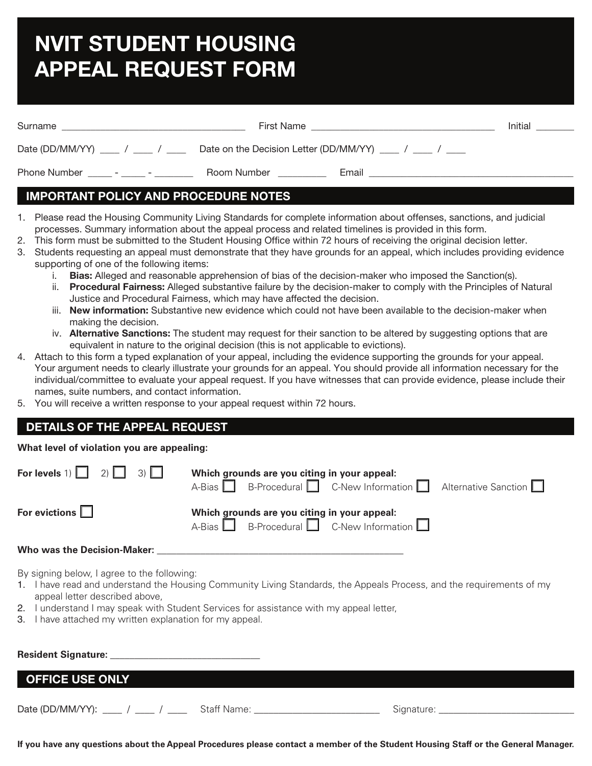# **NVIT STUDENT HOUSING APPEAL REQUEST FORM**

| Surname                       | <b>First Name</b> |       | Initial |
|-------------------------------|-------------------|-------|---------|
| Date (DD/MM/YY) / /           |                   |       |         |
| Phone Number<br>$\sim$ $\sim$ | Room Number       | Email |         |

# **IMPORTANT POLICY AND PROCEDURE NOTES**

- 1. Please read the Housing Community Living Standards for complete information about offenses, sanctions, and judicial processes. Summary information about the appeal process and related timelines is provided in this form.
- 2. This form must be submitted to the Student Housing Office within 72 hours of receiving the original decision letter.
- 3. Students requesting an appeal must demonstrate that they have grounds for an appeal, which includes providing evidence supporting of one of the following items:
	- i. **Bias:** Alleged and reasonable apprehension of bias of the decision-maker who imposed the Sanction(s).
	- ii. **Procedural Fairness:** Alleged substantive failure by the decision-maker to comply with the Principles of Natural Justice and Procedural Fairness, which may have affected the decision.
	- iii. **New information:** Substantive new evidence which could not have been available to the decision-maker when making the decision.
	- iv. **Alternative Sanctions:** The student may request for their sanction to be altered by suggesting options that are equivalent in nature to the original decision (this is not applicable to evictions).
- 4. Attach to this form a typed explanation of your appeal, including the evidence supporting the grounds for your appeal. Your argument needs to clearly illustrate your grounds for an appeal. You should provide all information necessary for the individual/committee to evaluate your appeal request. If you have witnesses that can provide evidence, please include their names, suite numbers, and contact information.
- 5. You will receive a written response to your appeal request within 72 hours.

# **DETAILS OF THE APPEAL REQUEST**

## **What level of violation you are appealing:**

| For levels $1)$ $\begin{bmatrix} 1 & 2 \end{bmatrix}$ $\begin{bmatrix} 3 \end{bmatrix}$                                                                                                                | Which grounds are you citing in your appeal:<br>A-Bias $\Box$ B-Procedural $\Box$ C-New Information $\Box$ Alternative Sanction $\Box$ |  |  |  |
|--------------------------------------------------------------------------------------------------------------------------------------------------------------------------------------------------------|----------------------------------------------------------------------------------------------------------------------------------------|--|--|--|
| For evictions $\Box$                                                                                                                                                                                   | Which grounds are you citing in your appeal:<br>$A-Bias$ B-Procedural C-New Information $\Box$                                         |  |  |  |
| Who was the Decision-Maker:                                                                                                                                                                            |                                                                                                                                        |  |  |  |
| By signing below, I agree to the following:<br>1. I have read and understand the Housing Community Living Standards, the Appeals Process, and the requirements of my<br>appeal letter described above, |                                                                                                                                        |  |  |  |

- 2. I understand I may speak with Student Services for assistance with my appeal letter,
- 3. I have attached my written explanation for my appeal.

| <b>Resident Signature:</b>          |             |                |  |  |
|-------------------------------------|-------------|----------------|--|--|
| OFFICE USE ONLY                     |             |                |  |  |
| Date (DD/MM/YY): ____ / ____ / ____ | Staff Name: | Signature: ___ |  |  |

**If you have any questions about the Appeal Procedures please contact a member of the Student Housing Staff or the General Manager.**